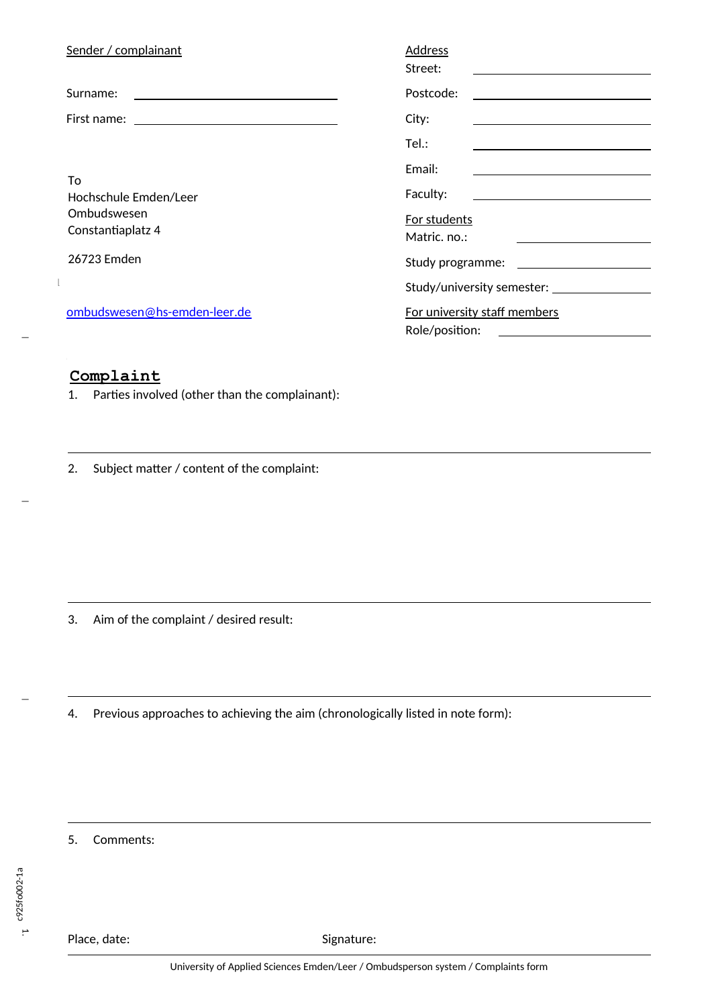| Sender / complainant                                                                                                              | Address<br>Street:                                                                                                                                                                                                                                                                         |
|-----------------------------------------------------------------------------------------------------------------------------------|--------------------------------------------------------------------------------------------------------------------------------------------------------------------------------------------------------------------------------------------------------------------------------------------|
| Surname:<br><u> 1989 - Johann Stein, mars and de Branch and de Branch and de Branch and de Branch and de Branch and de Branch</u> | Postcode:                                                                                                                                                                                                                                                                                  |
|                                                                                                                                   | City:                                                                                                                                                                                                                                                                                      |
|                                                                                                                                   | Tel:                                                                                                                                                                                                                                                                                       |
| To<br>Hochschule Emden/Leer<br>Ombudswesen<br>Constantiaplatz 4                                                                   | Email:<br>Faculty:<br><u> 1989 - Johann Stein, mars an de Brandenburg en de Brandenburg en de Brandenburg en de Brandenburg en de Brandenburg en de Brandenburg en de Brandenburg en de Brandenburg en de Brandenburg en de Brandenburg en de Brandenb</u><br>For students<br>Matric. no.: |
| 26723 Emden                                                                                                                       |                                                                                                                                                                                                                                                                                            |
|                                                                                                                                   |                                                                                                                                                                                                                                                                                            |
| ombudswesen@hs-emden-leer.de                                                                                                      | For university staff members<br>Role/position:                                                                                                                                                                                                                                             |

## **Complaint**

1. Parties involved (other than the complainant):

2. Subject matter / content of the complaint:

3. Aim of the complaint / desired result:

4. Previous approaches to achieving the aim (chronologically listed in note form):

5. Comments:

 $\overline{\phantom{0}}$ 

 $\overline{\phantom{0}}$ 

Place, date: Signature: Signature: